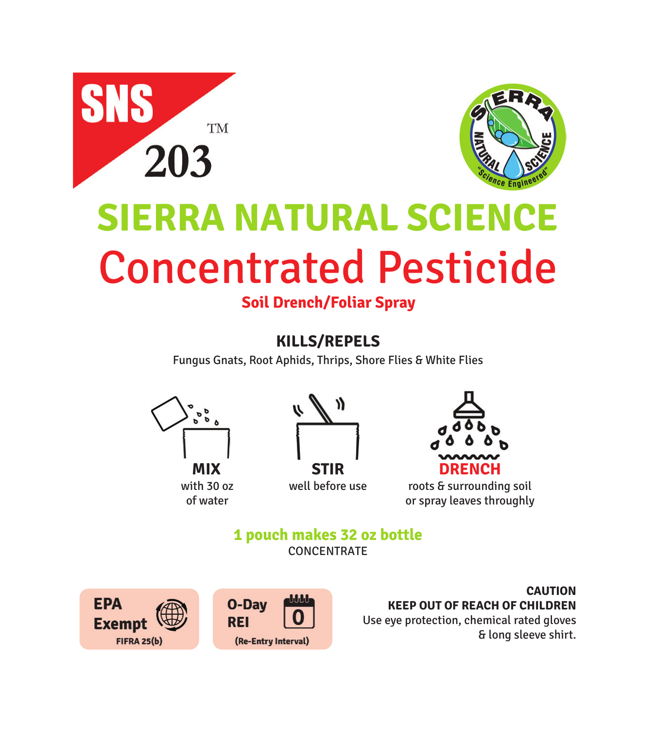



# **SIERRA NATURAL SCIENCE** Concentrated Pesticide

**Soil Drench/Foliar Spray**

**KILLS/REPELS**

Fungus Gnats, Root Aphids, Thrips, Shore Flies & White Flies











roots & surrounding soil or spray leaves throughly

**1 pouch makes 32 oz bottle** CONCENTRATE



**CAUTION KEEP OUT OF REACH OF CHILDREN** Use eye protection, chemical rated gloves & long sleeve shirt.